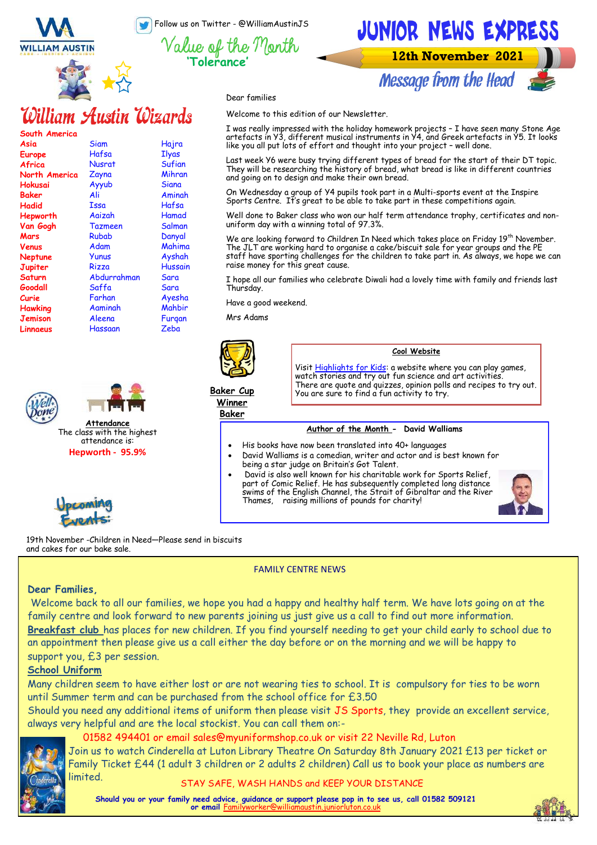Follow us on Twitter - @WilliamAustinJS

**'Tolerance'**

Value of the T





**12th November 2021** 

**Message from the Head** 



'Ionth

Welcome to this edition of our Newsletter.

William Austin Wizards

| South America |                |              |
|---------------|----------------|--------------|
| Asia          | Siam           | Hajra        |
| <b>Europe</b> | Hafsa          | <b>Ilyas</b> |
| Africa        | Nusrat         | Sufian       |
| North America | Zayna          | Mihran       |
| Hokusai       | Ayyub          | Siana        |
| Baker         | Ali            | Aminah       |
| Hadid         | Issa           | Hafsa        |
| Hepworth      | Aaizah         | Hamad        |
| Van Gogh      | <b>Tazmeen</b> | Salman       |
| Mars          | Rubab          | Danyal       |
| Venus         | Adam           | Mahima       |
| Neptune       | Yunus          | Ayshah       |
| Jupiter       | Rizza          | Hussain      |
| Saturn        | Abdurrahman    | Sara         |
| Goodall       | Saffa          | Sara         |
| Curie         | Farhan         | Ayesha       |
| Hawking       | Aaminah        | Mahbir       |
| Jemison       | Aleena         | Furgan       |
| Linnaeus      | Hassaan        | Zeba         |







Mihran artefacts in Y3, different musical instruments in Y4, and Greek artefacts in Y5. It looks like you all put lots of effort and thought into your project – well done. Last week Y6 were busy trying different types of bread for the start of their DT topic. They will be researching the history of bread, what bread is like in different countries

and going on to design and make their own bread. On Wednesday a group of Y4 pupils took part in a Multi-sports event at the Inspire Sports Centre. It's great to be able to take part in these competitions again.

I was really impressed with the holiday homework projects – I have seen many Stone Age

Well done to Baker class who won our half term attendance trophy, certificates and nonuniform day with a winning total of 97.3%.

We are looking forward to Children In Need which takes place on Friday  $19^{th}$  November. The JLT are working hard to organise a cake/biscuit sale for year groups and the PE staff have sporting challenges for the children to take part in. As always, we hope we can raise money for this great cause.

I hope all our families who celebrate Diwali had a lovely time with family and friends last Thursday.

Have a good weekend.

Mrs Adams



#### **Cool Website**

Visit [Highlights for Kids:](https://www.highlightskids.com/) a website where you can play games, watch stories and try out fun science and art activities There are quote and quizzes, opinion polls and recipes to try out. You are sure to find a fun activity to try.

**Baker Cup Winner Baker**

### **Author of the Month - David Walliams**

- His books have now been translated into 40+ languages
	- David Walliams is a comedian, writer and actor and is best known for being a star judge on Britain's Got Talent.
- David is also well known for his charitable work for Sports Relief, part of Comic Relief. He has subsequently completed long distance swims of the English Channel, the Strait of Gibraltar and the River Thames, raising millions of pounds for charity!



19th November -Children in Need—Please send in biscuits and cakes for our bake sale.

FAMILY CENTRE NEWS

### **Dear Families,**

 Welcome back to all our families, we hope you had a happy and healthy half term. We have lots going on at the family centre and look forward to new parents joining us just give us a call to find out more information.

**Breakfast club** has places for new children. If you find yourself needing to get your child early to school due to an appointment then please give us a call either the day before or on the morning and we will be happy to support you, £3 per session.

### **School Uniform**

Many children seem to have either lost or are not wearing ties to school. It is compulsory for ties to be worn until Summer term and can be purchased from the school office for £3.50

Should you need any additional items of uniform then please visit JS Sports, they provide an excellent service, always very helpful and are the local stockist. You can call them on:-



### 01582 494401 or email sales@myuniformshop.co.uk or visit 22 Neville Rd, Luton

Join us to watch Cinderella at Luton Library Theatre On Saturday 8th January 2021 £13 per ticket or Family Ticket £44 (1 adult 3 children or 2 adults 2 children) Call us to book your place as numbers are limited.

STAY SAFE, WASH HANDS and KEEP YOUR DISTANCE

**Should you or your family need advice, guidance or support please pop in to see us, call 01582 509121 or email** Fa

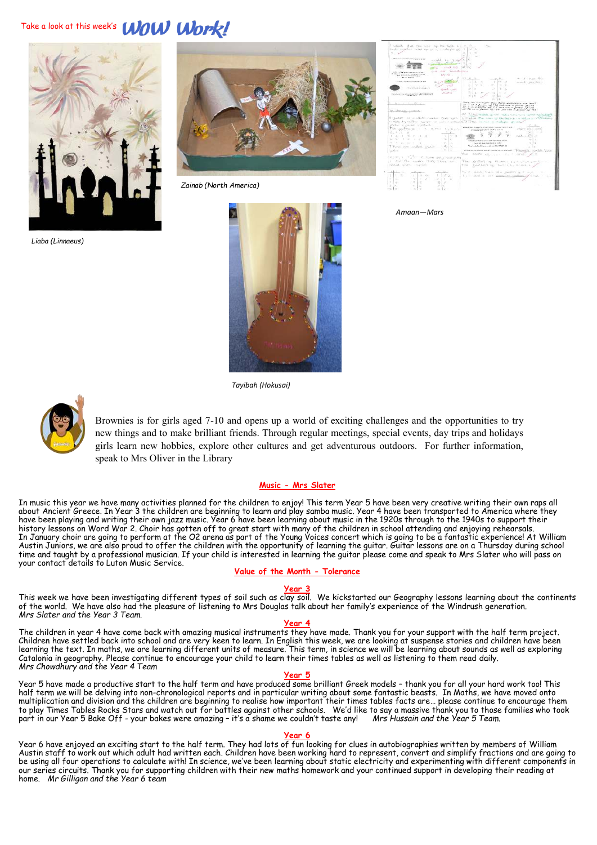## Take a look at this week's **WOW Work!**



*Liaba (Linnaeus)*



*Zainab (North America)*

| I noticed. then the week of the high de = = >                                                          | $\sim$                                                                                                             |
|--------------------------------------------------------------------------------------------------------|--------------------------------------------------------------------------------------------------------------------|
| made vogether adds the two constructs of                                                               | 12.06                                                                                                              |
|                                                                                                        |                                                                                                                    |
| 5.70                                                                                                   | $\sim$                                                                                                             |
| The time compression interest and                                                                      |                                                                                                                    |
| centile. Inc.<br>1941, 1944                                                                            | ×                                                                                                                  |
|                                                                                                        |                                                                                                                    |
| County of the                                                                                          |                                                                                                                    |
| make Monachinistan<br>$C = E$                                                                          |                                                                                                                    |
| A RECOVER DEPARTMENT COMPANY<br>and their rich in cases in cardible of those<br>Cy G                   |                                                                                                                    |
| This interment a content of a<br>Abbreviation                                                          | ×                                                                                                                  |
|                                                                                                        | $-20 - 30$<br>W. W. Basic Old                                                                                      |
| - contract interests between the way                                                                   | ×<br>×<br>and strikers                                                                                             |
| cold<br>multipled by strengthening                                                                     | $\sim$                                                                                                             |
| contractors design a court affects. In<br><b>June Avent</b>                                            | $\mathbb{R}^2$                                                                                                     |
| AN SOFIE                                                                                               |                                                                                                                    |
| have a majorithma interest countries without School would<br>An American College                       |                                                                                                                    |
|                                                                                                        |                                                                                                                    |
|                                                                                                        | Note of one scaler that them additionally are tree?                                                                |
| 1 45 - 1 - 45 -                                                                                        | a) I see a farmer of 198 and out a factor of 198                                                                   |
|                                                                                                        | $\Delta S \gg \omega$ a finite $\Delta S$ (77 $\Delta m$ roll is factor $\Delta S$ (78)                            |
| In Alexandrian                                                                                         | a) 20 in a factor of 180 and red a farmer of 140                                                                   |
|                                                                                                        | a True-walk and whenever and whater                                                                                |
|                                                                                                        | A guerre in a whole number that you is a Fisher The seas of the lease is selling a company                         |
|                                                                                                        |                                                                                                                    |
| modificates has need but reaction an evaluation or pretinent C. I Tristal. In most as marketing up may |                                                                                                                    |
| theme is control spreducts.                                                                            | manuficial significant experience assets have basic                                                                |
| The spottes of the common risks of                                                                     | $-44.5 - 67$<br><b>FOR COOLERS form of the county</b>                                                              |
| こしきしし ス                                                                                                | $\frac{1}{2} \left( \frac{1}{2} \frac{1}{2} \right) \frac{1}{2} \left( \frac{1}{2} \frac{1}{2} \right)$<br>100 H W |
| ٠<br>All the control of<br>11:30:11                                                                    | cAA-+                                                                                                              |
| $2 - 90 = 1000 = 100$<br>- 22<br>$\sim$                                                                |                                                                                                                    |
| P. Chrysler School St.<br>$\sim$                                                                       | The page of these senses from Standard and SM.                                                                     |
| ⇒                                                                                                      | Let's of the digital dire only.<br>$\propto$<br>Trust in find automay or exclude the bring World (20)              |
| These we called gazes<br>$-4 - 20$                                                                     |                                                                                                                    |
| s<br>×<br>Laire                                                                                        | Prince around a casis frange in could not on mixtured.<br>Kanals, collid hair                                      |
|                                                                                                        | this come of the sell<br><b>GELA</b>                                                                               |
| FREMEL IT I - I have plus tout just                                                                    |                                                                                                                    |
| I don't the success today Truck are                                                                    | The guiders of thiers: survey the end of                                                                           |
| cellule under mainter                                                                                  |                                                                                                                    |
|                                                                                                        | The factor or faction, a soil a                                                                                    |
|                                                                                                        |                                                                                                                    |
| ÷                                                                                                      | to 2 and have the public of will be                                                                                |
|                                                                                                        |                                                                                                                    |
| Y.<br>コーカー                                                                                             | I = = Mrd + oft gentron feither.<br>Soupe                                                                          |
| $-1.$<br>÷                                                                                             |                                                                                                                    |
|                                                                                                        |                                                                                                                    |
| ×<br>э<br>×<br>4<br>$\sim$<br>÷<br>÷.                                                                  |                                                                                                                    |

*Amaan—Mars*



*Tayibah (Hokusai)*



Brownies is for girls aged 7-10 and opens up a world of exciting challenges and the opportunities to try new things and to make brilliant friends. Through regular meetings, special events, day trips and holidays girls learn new hobbies, explore other cultures and get adventurous outdoors. For further information, speak to Mrs Oliver in the Library

#### **Music - Mrs Slater**

In music this year we have many activities planned for the children to enjoy! This term Year 5 have been very creative writing their own raps all about Ancient Greece. In Year 3 the children are beginning to learn and play samba music. Year 4 have been transported to America where they have been playing and writing their own jazz music. Year 6 have been learning about music in the 1920s through to the 1940s to support their history lessons on Word War 2. Choir has gotten off to great start with many of the children in school attending and enjoying rehearsals. In January choir are going to perform at the O2 arena as part of the Young Voices concert which is going to be a fantastic experience! At William Austin Juniors, we are also proud to offer the children with the opportunity of learning the guitar. Guitar lessons are on a Thursday during school time and taught by a professional musician. If your child is interested in learning the guitar please come and speak to Mrs Slater who will pass on your contact details to Luton Music Service.

#### **Value of the Month - Tolerance**

#### **Year 3**

This week we have been investigating different types of soil such as clay soil. We kickstarted our Geography lessons learning about the continents of the world. We have also had the pleasure of listening to Mrs Douglas talk about her family's experience of the Windrush generation. *Mrs Slater and the Year 3 Team.*

#### **Year 4**

The children in year 4 have come back with amazing musical instruments they have made. Thank you for your support with the half term project. Children have settled back into school and are very keen to learn. In English this week, we are looking at suspense stories and children have been learning the text. In maths, we are learning different units of measure. This term, in science we will be learning about sounds as well as exploring Catalonia in geography. Please continue to encourage your child to learn their times tables as well as listening to them read daily. *Mrs Chowdhury and the Year 4 Team*

#### **Year 5**

Year 5 have made a productive start to the half term and have produced some brilliant Greek models – thank you for all your hard work too! This half term we will be delving into non-chronological reports and in particular writing about some fantastic beasts. In Maths, we have moved onto multiplication and division and the children are beginning to realise how important their times tables facts are… please continue to encourage them to play Times Tables Rocks Stars and watch out for battles against other schools. We'd like to say a massive thank you to those families who took part in our Year 5 Bake Off - your bakes were amazing – it's a shame we couldn't taste any! *Mrs Hussain and the Year 5 Team.*

#### **Year 6**

Year 6 have enjoyed an exciting start to the half term. They had lots of fun looking for clues in autobiographies written by members of William Austin staff to work out which adult had written each. Children have been working hard to represent, convert and simplify fractions and are going to be using all four operations to calculate with! In science, we've been learning about static electricity and experimenting with different components in our series circuits. Thank you for supporting children with their new maths homework and your continued support in developing their reading at home. *Mr Gilligan and the Year 6 team*